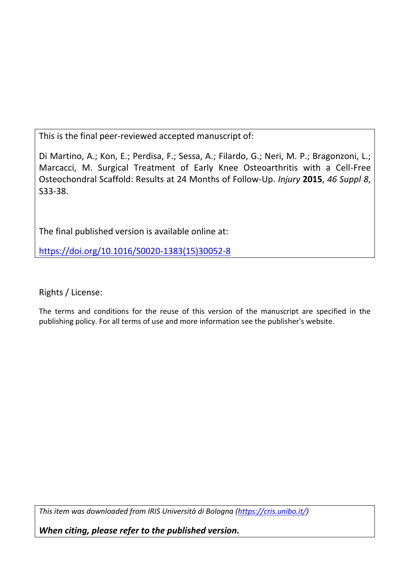This is the final peer-reviewed accepted manuscript of:

Di Martino, A.; Kon, E.; Perdisa, F.; Sessa, A.; Filardo, G.; Neri, M. P.; Bragonzoni, L.; Marcacci, M. Surgical Treatment of Early Knee Osteoarthritis with a Cell-Free Osteochondral Scaffold: Results at 24 Months of Follow-Up. *Injury* **2015**, *46 Suppl 8*, S33-38.

The final published version is available online at:

[https://doi.org/10.1016/S0020-1383\(15\)30052-8](https://doi.org/10.1016/S0020-1383(15)30052-8)

Rights / License:

The terms and conditions for the reuse of this version of the manuscript are specified in the publishing policy. For all terms of use and more information see the publisher's website.

*This item was downloaded from IRIS Università di Bologna [\(https://cris.unibo.it/\)](https://cris.unibo.it/)*

*When citing, please refer to the published version.*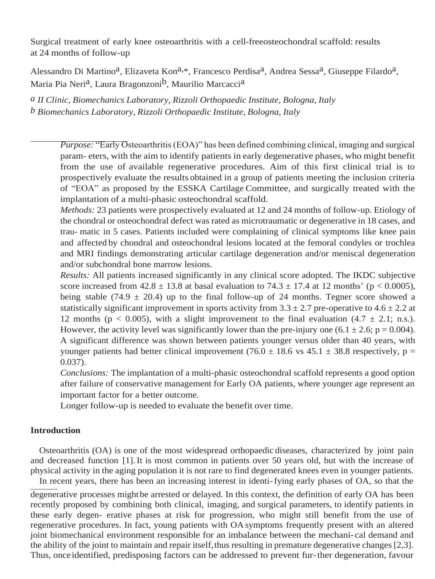Surgical treatment of early knee osteoarthritis with a cell-freeosteochondral scaffold: results at 24 months of follow-up

Alessandro Di Martino<sup>a</sup>, Elizaveta Kon<sup>a,\*</sup>, Francesco Perdisa<sup>a</sup>, Andrea Sessa<sup>a</sup>, Giuseppe Filardo<sup>a</sup>, Maria Pia Neria, Laura Bragonzonib, Maurilio Marcaccia

*a II Clinic, Biomechanics Laboratory, Rizzoli Orthopaedic Institute, Bologna, Italy b Biomechanics Laboratory, Rizzoli Orthopaedic Institute, Bologna, Italy*

*Purpose:* "Early Osteoarthritis (EOA)" has been defined combining clinical, imaging and surgical param- eters, with the aim to identify patients in early degenerative phases, who might benefit from the use of available regenerative procedures. Aim of this first clinical trial is to prospectively evaluate the results obtained in a group of patients meeting the inclusion criteria of "EOA" as proposed by the ESSKA Cartilage Committee, and surgically treated with the implantation of a multi-phasic osteochondral scaffold.

*Methods:* 23 patients were prospectively evaluated at 12 and 24 months of follow-up. Etiology of the chondral or osteochondral defect was rated as microtraumatic or degenerative in 18 cases, and trau- matic in 5 cases. Patients included were complaining of clinical symptoms like knee pain and affected by chondral and osteochondral lesions located at the femoral condyles or trochlea and MRI findings demonstrating articular cartilage degeneration and/or meniscal degeneration and/or subchondral bone marrow lesions.

*Results:* All patients increased significantly in any clinical score adopted. The IKDC subjective score increased from  $42.8 \pm 13.8$  at basal evaluation to  $74.3 \pm 17.4$  at 12 months' (p < 0.0005), being stable (74.9  $\pm$  20.4) up to the final follow-up of 24 months. Tegner score showed a statistically significant improvement in sports activity from  $3.3 \pm 2.7$  pre-operative to  $4.6 \pm 2.2$  at 12 months ( $p < 0.005$ ), with a slight improvement to the final evaluation (4.7  $\pm$  2.1; n.s.). However, the activity level was significantly lower than the pre-injury one  $(6.1 \pm 2.6; p = 0.004)$ . A significant difference was shown between patients younger versus older than 40 years, with younger patients had better clinical improvement (76.0  $\pm$  18.6 vs 45.1  $\pm$  38.8 respectively, p = 0.037).

*Conclusions:* The implantation of a multi-phasic osteochondral scaffold represents a good option after failure of conservative management for Early OA patients, where younger age represent an important factor for a better outcome.

Longer follow-up is needed to evaluate the benefit over time.

# **Introduction**

Osteoarthritis (OA) is one of the most widespread orthopaedic diseases, characterized by joint pain and decreased function [1].It is most common in patients over 50 years old, but with the increase of physical activity in the aging population it is not rare to find degenerated knees even in younger patients.

In recent years, there has been an increasing interest in identi-fying early phases of OA, so that the degenerative processes mightbe arrested or delayed. In this context, the definition of early OA has been recently proposed by combining both clinical, imaging, and surgical parameters, to identify patients in these early degen- erative phases at risk for progression, who might still benefit from the use of regenerative procedures. In fact, young patients with OA symptoms frequently present with an altered joint biomechanical environment responsible for an imbalance between the mechani- cal demand and the ability of the joint to maintain and repair itself, thus resulting in premature degenerative changes [2,3]. Thus, once identified, predisposing factors can be addressed to prevent fur-ther degeneration, favour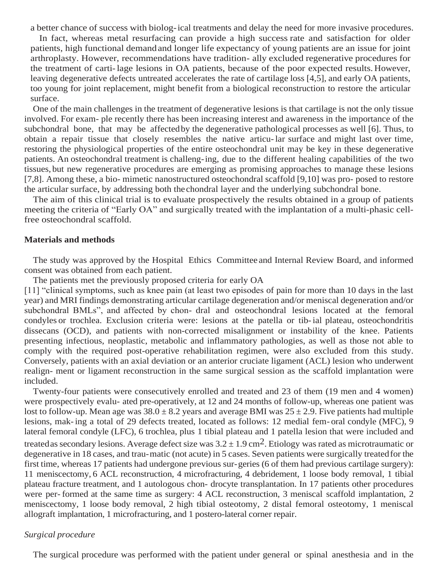a better chance of success with biolog-ical treatments and delay the need for more invasive procedures.

In fact, whereas metal resurfacing can provide a high success rate and satisfaction for older patients, high functional demandand longer life expectancy of young patients are an issue for joint arthroplasty. However, recommendations have tradition- ally excluded regenerative procedures for the treatment of carti-lage lesions in OA patients, because of the poor expected results. However, leaving degenerative defects untreated accelerates the rate of cartilage loss [4,5], and early OA patients, too young for joint replacement, might benefit from a biological reconstruction to restore the articular surface.

One of the main challenges in the treatment of degenerative lesions is that cartilage is not the only tissue involved. For exam- ple recently there has been increasing interest and awareness in the importance of the subchondral bone, that may be affectedby the degenerative pathological processes as well [6]. Thus, to obtain a repair tissue that closely resembles the native articu-lar surface and might last over time, restoring the physiological properties of the entire osteochondral unit may be key in these degenerative patients. An osteochondral treatment is challeng-ing, due to the different healing capabilities of the two tissues, but new regenerative procedures are emerging as promising approaches to manage these lesions [7,8]. Among these, a bio- mimetic nanostructured osteochondral scaffold [9,10] was pro- posed to restore the articular surface, by addressing both thechondral layer and the underlying subchondral bone.

The aim of this clinical trial is to evaluate prospectively the results obtained in a group of patients meeting the criteria of "Early OA" and surgically treated with the implantation of a multi-phasic cellfree osteochondral scaffold.

### **Materials and methods**

The study was approved by the Hospital Ethics Committee and Internal Review Board, and informed consent was obtained from each patient.

The patients met the previously proposed criteria for early OA

[11] "clinical symptoms, such as knee pain (at least two episodes of pain for more than 10 days in the last year) and MRI findings demonstrating articular cartilage degeneration and/or meniscal degeneration and/or subchondral BMLs", and affected by chon- dral and osteochondral lesions located at the femoral condyles or trochlea. Exclusion criteria were: lesions at the patella or tib-ial plateau, osteochondritis dissecans (OCD), and patients with non-corrected misalignment or instability of the knee. Patients presenting infectious, neoplastic, metabolic and inflammatory pathologies, as well as those not able to comply with the required post-operative rehabilitation regimen, were also excluded from this study. Conversely, patients with an axial deviation or an anterior cruciate ligament (ACL) lesion who underwent realign- ment or ligament reconstruction in the same surgical session as the scaffold implantation were included.

Twenty-four patients were consecutively enrolled and treated and 23 of them (19 men and 4 women) were prospectively evalu- ated pre-operatively, at 12 and 24 months of follow-up, whereas one patient was lost to follow-up. Mean age was  $38.0 \pm 8.2$  years and average BMI was  $25 \pm 2.9$ . Five patients had multiple lesions, mak-ing a total of 29 defects treated, located as follows: 12 medial fem- oral condyle (MFC), 9 lateral femoral condyle (LFC), 6 trochlea, plus 1 tibial plateau and 1 patella lesion that were included and treated as secondary lesions. Average defect size was  $3.2 \pm 1.9$  cm<sup>2</sup>. Etiology was rated as microtraumatic or degenerative in 18 cases, and trau-matic (not acute) in 5 cases. Seven patients were surgically treatedfor the first time, whereas 17 patients had undergone previous sur-geries (6 of them had previous cartilage surgery): 11 meniscectomy, 6 ACL reconstruction, 4 microfracturing, 4 debridement, 1 loose body removal, 1 tibial plateau fracture treatment, and 1 autologous chon- drocyte transplantation. In 17 patients other procedures were per- formed at the same time as surgery: 4 ACL reconstruction, 3 meniscal scaffold implantation, 2 meniscectomy, 1 loose body removal, 2 high tibial osteotomy, 2 distal femoral osteotomy, 1 meniscal allograft implantation, 1 microfracturing, and 1 postero-lateral corner repair.

## *Surgical procedure*

The surgical procedure was performed with the patient under general or spinal anesthesia and in the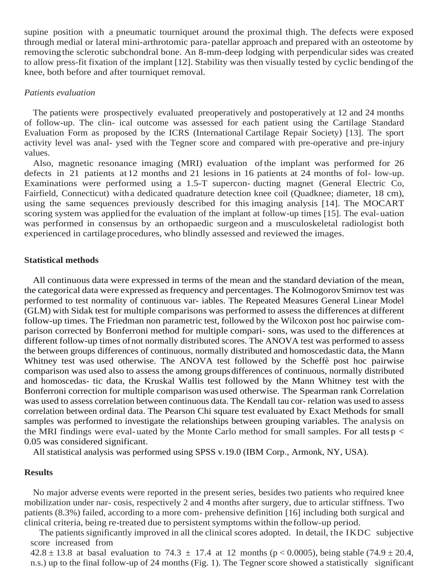supine position with a pneumatic tourniquet around the proximal thigh. The defects were exposed through medial or lateral mini-arthrotomic para-patellar approach and prepared with an osteotome by removingthe sclerotic subchondral bone. An 8-mm-deep lodging with perpendicular sides was created to allow press-fit fixation of the implant [12]. Stability was then visually tested by cyclic bendingof the knee, both before and after tourniquet removal.

#### *Patients evaluation*

The patients were prospectively evaluated preoperatively and postoperatively at 12 and 24 months of follow-up. The clin- ical outcome was assessed for each patient using the Cartilage Standard Evaluation Form as proposed by the ICRS (International Cartilage Repair Society) [13]. The sport activity level was anal- ysed with the Tegner score and compared with pre-operative and pre-injury values.

Also, magnetic resonance imaging (MRI) evaluation ofthe implant was performed for 26 defects in 21 patients at 12 months and 21 lesions in 16 patients at 24 months of fol- low-up. Examinations were performed using a 1.5-T supercon- ducting magnet (General Electric Co, Fairfield, Connecticut) with a dedicated quadrature detection knee coil (Quadknee; diameter, 18 cm), using the same sequences previously described for this imaging analysis [14]. The MOCART scoring system was applied for the evaluation of the implant at follow-up times [15]. The eval-uation was performed in consensus by an orthopaedic surgeon and a musculoskeletal radiologist both experienced in cartilage procedures, who blindly assessed and reviewed the images.

### **Statistical methods**

All continuous data were expressed in terms of the mean and the standard deviation of the mean, the categorical data were expressed asfrequency and percentages. The KolmogorovSmirnov test was performed to test normality of continuous var- iables. The Repeated Measures General Linear Model (GLM) with Sidak test for multiple comparisons was performed to assess the differences at different follow-up times. The Friedman non parametric test, followed by the Wilcoxon post hoc pairwise comparison corrected by Bonferroni method for multiple compari- sons, was used to the differences at different follow-up times ofnot normally distributed scores. The ANOVA test was performed to assess the between groups differences of continuous, normally distributed and homoscedastic data, the Mann Whitney test was used otherwise. The ANOVA test followed by the Scheffè post hoc pairwise comparison was used also to assess the among groupsdifferences of continuous, normally distributed and homoscedas- tic data, the Kruskal Wallis test followed by the Mann Whitney test with the Bonferroni correction for multiple comparison wasused otherwise. The Spearman rank Correlation was used to assess correlation between continuous data. The Kendall tau cor- relation was used to assess correlation between ordinal data. The Pearson Chi square test evaluated by Exact Methods for small samples was performed to investigate the relationships between grouping variables. The analysis on the MRI findings were eval-uated by the Monte Carlo method for small samples. For all tests  $p <$ 0.05 was considered significant.

All statistical analysis was performed using SPSS v.19.0 (IBM Corp., Armonk, NY, USA).

#### **Results**

No major adverse events were reported in the present series, besides two patients who required knee mobilization under nar- cosis, respectively 2 and 4 months after surgery, due to articular stiffness. Two patients (8.3%) failed, according to a more com- prehensive definition [16] including both surgical and clinical criteria, being re-treated due to persistent symptoms within thefollow-up period.

The patients significantly improved in all the clinical scores adopted. In detail, the IKDC subjective score increased from

42.8  $\pm$  13.8 at basal evaluation to 74.3  $\pm$  17.4 at 12 months (p < 0.0005), being stable (74.9  $\pm$  20.4, n.s.) up to the final follow-up of 24 months (Fig. 1). The Tegner score showed a statistically significant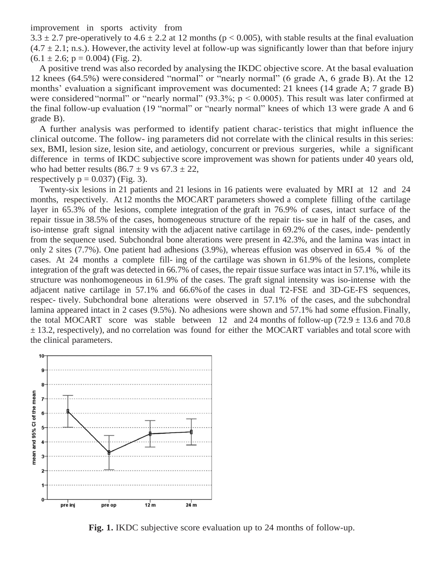improvement in sports activity from

 $3.3 \pm 2.7$  pre-operatively to  $4.6 \pm 2.2$  at 12 months (p < 0.005), with stable results at the final evaluation  $(4.7 \pm 2.1; \text{ n.s.})$ . However, the activity level at follow-up was significantly lower than that before injury  $(6.1 \pm 2.6; p = 0.004)$  (Fig. 2).

A positive trend was also recorded by analysing the IKDC objective score. At the basal evaluation 12 knees (64.5%) were considered "normal" or "nearly normal" (6 grade A, 6 grade B). At the 12 months' evaluation a significant improvement was documented: 21 knees (14 grade A; 7 grade B) were considered "normal" or "nearly normal" (93.3%;  $p < 0.0005$ ). This result was later confirmed at the final follow-up evaluation (19 "normal" or "nearly normal" knees of which 13 were grade A and 6 grade B).

A further analysis was performed to identify patient charac- teristics that might influence the clinical outcome. The follow- ing parameters did not correlate with the clinical results in this series: sex, BMI, lesion size, lesion site, and aetiology, concurrent or previous surgeries, while a significant difference in terms of IKDC subjective score improvement was shown for patients under 40 years old, who had better results  $(86.7 \pm 9 \text{ vs } 67.3 \pm 22,$ 

respectively  $p = 0.037$ ) (Fig. 3).

Twenty-six lesions in 21 patients and 21 lesions in 16 patients were evaluated by MRI at 12 and 24 months, respectively. At12 months the MOCART parameters showed a complete filling ofthe cartilage layer in 65.3% of the lesions, complete integration of the graft in 76.9% of cases, intact surface of the repair tissue in 38.5% of the cases, homogeneous structure of the repair tis- sue in half of the cases, and iso-intense graft signal intensity with the adjacent native cartilage in 69.2% of the cases, inde- pendently from the sequence used. Subchondral bone alterations were present in 42.3%, and the lamina was intact in only 2 sites (7.7%). One patient had adhesions (3.9%), whereas effusion was observed in 65.4 % of the cases. At 24 months a complete fill- ing of the cartilage was shown in 61.9% of the lesions, complete integration of the graft was detected in 66.7% of cases, the repair tissue surface was intact in 57.1%, while its structure was nonhomogeneous in 61.9% of the cases. The graft signal intensity was iso-intense with the adjacent native cartilage in 57.1% and 66.6%of the cases in dual T2-FSE and 3D-GE-FS sequences, respec- tively. Subchondral bone alterations were observed in 57.1% of the cases, and the subchondral lamina appeared intact in 2 cases (9.5%). No adhesions were shown and 57.1% had some effusion.Finally, the total MOCART score was stable between 12 and 24 months of follow-up  $(72.9 \pm 13.6 \text{ and } 70.8)$ ± 13.2, respectively), and no correlation was found for either the MOCART variables and total score with the clinical parameters.



**Fig. 1.** IKDC subjective score evaluation up to 24 months of follow-up.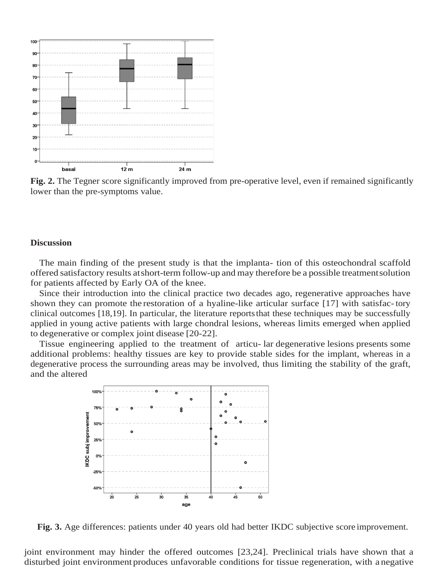

**Fig. 2.** The Tegner score significantly improved from pre-operative level, even if remained significantly lower than the pre-symptoms value.

## **Discussion**

The main finding of the present study is that the implanta- tion of this osteochondral scaffold offered satisfactory results atshort-term follow-up and may therefore be a possible treatmentsolution for patients affected by Early OA of the knee.

Since their introduction into the clinical practice two decades ago, regenerative approaches have shown they can promote the restoration of a hyaline-like articular surface [17] with satisfac-tory clinical outcomes [18,19]. In particular, the literature reportsthat these techniques may be successfully applied in young active patients with large chondral lesions, whereas limits emerged when applied to degenerative or complex joint disease [20-22].

Tissue engineering applied to the treatment of articu- lar degenerative lesions presents some additional problems: healthy tissues are key to provide stable sides for the implant, whereas in a degenerative process the surrounding areas may be involved, thus limiting the stability of the graft, and the altered



**Fig. 3.** Age differences: patients under 40 years old had better IKDC subjective score improvement.

joint environment may hinder the offered outcomes [23,24]. Preclinical trials have shown that a disturbed joint environment produces unfavorable conditions for tissue regeneration, with a negative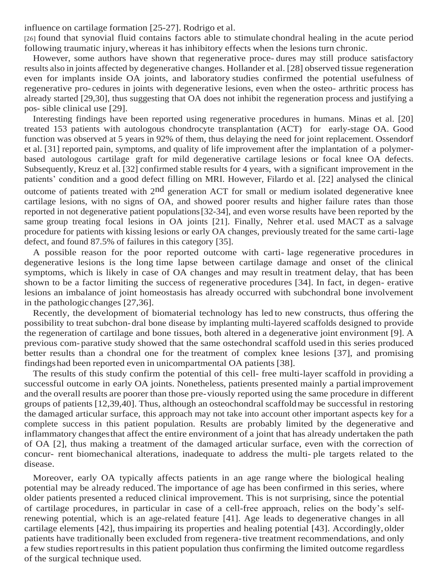influence on cartilage formation [25-27]. Rodrigo et al.

[26] found that synovial fluid contains factors able to stimulate chondral healing in the acute period following traumatic injury, whereas it has inhibitory effects when the lesions turn chronic.

However, some authors have shown that regenerative proce- dures may still produce satisfactory results also in joints affected by degenerative changes. Hollander et al. [28] observed tissue regeneration even for implants inside OA joints, and laboratory studies confirmed the potential usefulness of regenerative pro- cedures in joints with degenerative lesions, even when the osteo- arthritic process has already started [29,30], thus suggesting that OA does not inhibit the regeneration process and justifying a pos- sible clinical use [29].

Interesting findings have been reported using regenerative procedures in humans. Minas et al. [20] treated 153 patients with autologous chondrocyte transplantation (ACT) for early-stage OA. Good function was observed at 5 years in 92% of them, thus delaying the need for joint replacement. Ossendorf et al. [31] reported pain, symptoms, and quality of life improvement after the implantation of a polymerbased autologous cartilage graft for mild degenerative cartilage lesions or focal knee OA defects. Subsequently, Kreuz et al. [32] confirmed stable results for 4 years, with a significant improvement in the patients' condition and a good defect filling on MRI. However, Filardo et al. [22] analysed the clinical outcome of patients treated with 2<sup>nd</sup> generation ACT for small or medium isolated degenerative knee cartilage lesions, with no signs of OA, and showed poorer results and higher failure rates than those reported in not degenerative patient populations[32-34], and even worse results have been reported by the same group treating focal lesions in OA joints [21]. Finally, Nehrer et al. used MACT as a salvage procedure for patients with kissing lesions or early OA changes, previously treated for the same carti-lage defect, and found 87.5% of failures in this category [35].

A possible reason for the poor reported outcome with carti- lage regenerative procedures in degenerative lesions is the long time lapse between cartilage damage and onset of the clinical symptoms, which is likely in case of OA changes and may result in treatment delay, that has been shown to be a factor limiting the success of regenerative procedures [34]. In fact, in degen- erative lesions an imbalance of joint homeostasis has already occurred with subchondral bone involvement in the pathologicchanges [27,36].

Recently, the development of biomaterial technology has led to new constructs, thus offering the possibility to treat subchon-dral bone disease by implanting multi-layered scaffolds designed to provide the regeneration of cartilage and bone tissues, both altered in a degenerative joint environment [9]. A previous com- parative study showed that the same ostechondral scaffold used in this series produced better results than a chondral one for the treatment of complex knee lesions [37], and promising findingshad been reported even in unicompartmental OA patients [38].

The results of this study confirm the potential of this cell- free multi-layer scaffold in providing a successful outcome in early OA joints. Nonetheless, patients presented mainly a partialimprovement and the overall results are poorer than those pre-viously reported using the same procedure in different groups of patients [12,39,40]. Thus, although an osteochondral scaffoldmay be successful in restoring the damaged articular surface, this approach may not take into account other important aspects key for a complete success in this patient population. Results are probably limited by the degenerative and inflammatory changesthat affect the entire environment of a joint that has already undertaken the path of OA [2], thus making a treatment of the damaged articular surface, even with the correction of concur- rent biomechanical alterations, inadequate to address the multi- ple targets related to the disease.

Moreover, early OA typically affects patients in an age range where the biological healing potential may be already reduced.The importance of age has been confirmed in this series, where older patients presented a reduced clinical improvement. This is not surprising, since the potential of cartilage procedures, in particular in case of a cell-free approach, relies on the body's selfrenewing potential, which is an age-related feature [41]. Age leads to degenerative changes in all cartilage elements [42], thusimpairing its properties and healing potential [43]. Accordingly, older patients have traditionally been excluded from regenera-tive treatment recommendations, and only a few studies reportresults in this patient population thus confirming the limited outcome regardless of the surgical technique used.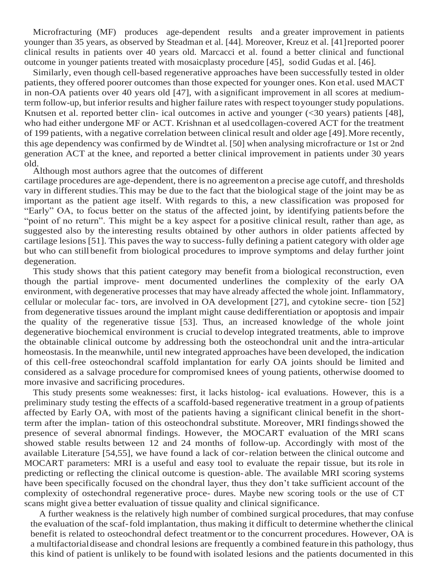Microfracturing (MF) produces age-dependent results and a greater improvement in patients younger than 35 years, as observed by Steadman et al. [44]. Moreover, Kreuz et al. [41]reported poorer clinical results in patients over 40 years old. Marcacci et al. found a better clinical and functional outcome in younger patients treated with mosaicplasty procedure [45], sodid Gudas et al. [46].

Similarly, even though cell-based regenerative approaches have been successfully tested in older patients, they offered poorer outcomes than those expected for younger ones. Kon etal. used MACT in non-OA patients over 40 years old [47], with a significant improvement in all scores at mediumterm follow-up, but inferior results and higher failure rates with respect toyounger study populations. Knutsen et al. reported better clin- ical outcomes in active and younger (<30 years) patients [48], who had either undergone MF or ACT. Krishnan et al usedcollagen-covered ACT for the treatment of 199 patients, with a negative correlation between clinical result and older age [49].More recently, this age dependency was confirmed by de Windtet al. [50] when analysing microfracture or 1st or 2nd generation ACT at the knee, and reported a better clinical improvement in patients under 30 years old.

Although most authors agree that the outcomes of different

cartilage procedures are age-dependent, there is no agreementon a precise age cutoff, and thresholds vary in different studies.This may be due to the fact that the biological stage of the joint may be as important as the patient age itself. With regards to this, a new classification was proposed for "Early" OA, to focus better on the status of the affected joint, by identifying patients before the "point of no return". This might be a key aspect for a positive clinical result, rather than age, as suggested also by the interesting results obtained by other authors in older patients affected by cartilage lesions [51]. This paves the way to success-fully defining a patient category with older age but who can stillbenefit from biological procedures to improve symptoms and delay further joint degeneration.

This study shows that this patient category may benefit froma biological reconstruction, even though the partial improve- ment documented underlines the complexity of the early OA environment, with degenerative processes that may have already affected the whole joint. Inflammatory, cellular or molecular fac- tors, are involved in OA development [27], and cytokine secre- tion [52] from degenerative tissues around the implant might cause dedifferentiation or apoptosis and impair the quality of the regenerative tissue [53]. Thus, an increased knowledge of the whole joint degenerative biochemical environment is crucial to develop integrated treatments, able to improve the obtainable clinical outcome by addressing both the osteochondral unit and the intra-articular homeostasis. In the meanwhile, until new integrated approaches have been developed, the indication of this cell-free osteochondral scaffold implantation for early OA joints should be limited and considered as a salvage procedure for compromised knees of young patients, otherwise doomed to more invasive and sacrificing procedures.

This study presents some weaknesses: first, it lacks histolog- ical evaluations. However, this is a preliminary study testing the effects of a scaffold-based regenerative treatment in a group ofpatients affected by Early OA, with most of the patients having a significant clinical benefit in the shortterm after the implan- tation of this osteochondral substitute. Moreover, MRI findings showed the presence of several abnormal findings. However, the MOCART evaluation of the MRI scans showed stable results between 12 and 24 months of follow-up. Accordingly with most of the available Literature [54,55], we have found a lack of cor-relation between the clinical outcome and MOCART parameters: MRI is a useful and easy tool to evaluate the repair tissue, but itsrole in predicting or reflecting the clinical outcome is question- able. The available MRI scoring systems have been specifically focused on the chondral layer, thus they don't take sufficient account of the complexity of ostechondral regenerative proce- dures. Maybe new scoring tools or the use of CT scans might givea better evaluation of tissue quality and clinical significance.

A further weakness is the relatively high number of combined surgical procedures, that may confuse the evaluation of the scaf-fold implantation, thus making it difficult to determine whetherthe clinical benefit is related to osteochondral defect treatmentor to the concurrent procedures. However, OA is a multifactorialdisease and chondral lesions are frequently a combined featurein this pathology, thus this kind of patient is unlikely to be foundwith isolated lesions and the patients documented in this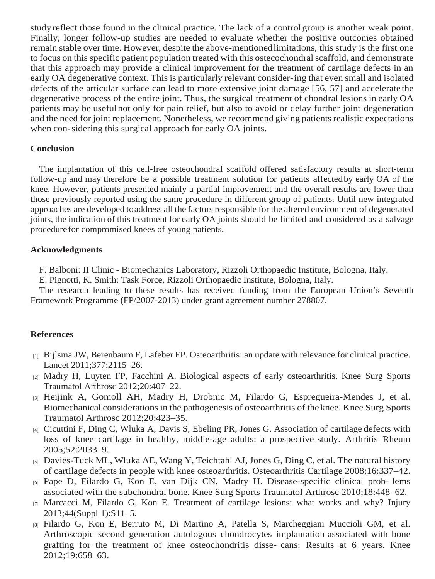studyreflect those found in the clinical practice. The lack of a control group is another weak point. Finally, longer follow-up studies are needed to evaluate whether the positive outcomes obtained remain stable over time. However, despite the above-mentionedlimitations, this study is the first one to focus on this specific patient population treated with this ostecochondral scaffold, and demonstrate that this approach may provide a clinical improvement for the treatment of cartilage defects in an early OA degenerative context. This is particularly relevant consider-ing that even small and isolated defects of the articular surface can lead to more extensive joint damage [56, 57] and accelerate the degenerative process of the entire joint. Thus, the surgical treatment of chondral lesions in early OA patients may be usefulnot only for pain relief, but also to avoid or delay further joint degeneration and the need for joint replacement. Nonetheless, we recommend giving patients realistic expectations when con-sidering this surgical approach for early OA joints.

## **Conclusion**

The implantation of this cell-free osteochondral scaffold offered satisfactory results at short-term follow-up and may therefore be a possible treatment solution for patients affectedby early OA of the knee. However, patients presented mainly a partial improvement and the overall results are lower than those previously reported using the same procedure in different group of patients. Until new integrated approaches are developed toaddress all the factors responsible for the altered environment of degenerated joints, the indication of this treatment for early OA joints should be limited and considered as a salvage procedure for compromised knees of young patients.

## **Acknowledgments**

F. Balboni: II Clinic - Biomechanics Laboratory, Rizzoli Orthopaedic Institute, Bologna, Italy.

E. Pignotti, K. Smith: Task Force, Rizzoli Orthopaedic Institute, Bologna, Italy.

The research leading to these results has received funding from the European Union's Seventh Framework Programme (FP/2007-2013) under grant agreement number 278807.

# **References**

- [1] Bijlsma JW, Berenbaum F, Lafeber FP. Osteoarthritis: an update with relevance for clinical practice. Lancet 2011;377:2115–26.
- [2] Madry H, Luyten FP, Facchini A. Biological aspects of early osteoarthritis. Knee Surg Sports Traumatol Arthrosc 2012;20:407–22.
- [3] Heijink A, Gomoll AH, Madry H, Drobnic M, Filardo G, Espregueira-Mendes J, et al. Biomechanical considerations in the pathogenesis of osteoarthritis of the knee. Knee Surg Sports Traumatol Arthrosc 2012;20:423–35.
- [4] Cicuttini F, Ding C, Wluka A, Davis S, Ebeling PR, Jones G. Association of cartilage defects with loss of knee cartilage in healthy, middle-age adults: a prospective study. Arthritis Rheum 2005;52:2033–9.
- [5] Davies-Tuck ML, Wluka AE, Wang Y, Teichtahl AJ, Jones G, Ding C, et al. The natural history of cartilage defects in people with knee osteoarthritis. Osteoarthritis Cartilage 2008;16:337–42.
- [6] Pape D, Filardo G, Kon E, van Dijk CN, Madry H. Disease-specific clinical prob- lems associated with the subchondral bone. Knee Surg Sports Traumatol Arthrosc 2010;18:448–62.
- [7] Marcacci M, Filardo G, Kon E. Treatment of cartilage lesions: what works and why? Injury 2013;44(Suppl 1):S11–5.
- [8] Filardo G, Kon E, Berruto M, Di Martino A, Patella S, Marcheggiani Muccioli GM, et al. Arthroscopic second generation autologous chondrocytes implantation associated with bone grafting for the treatment of knee osteochondritis disse- cans: Results at 6 years. Knee 2012;19:658–63.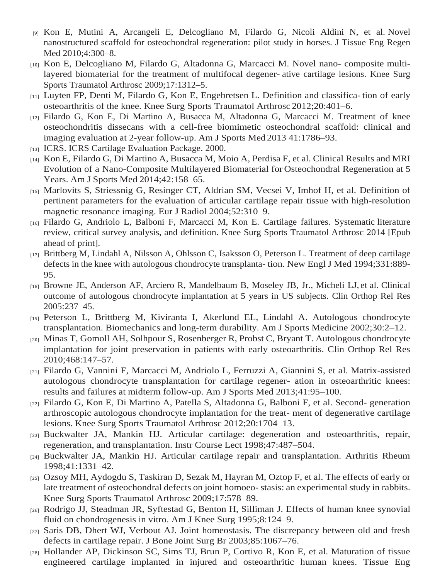- [9] Kon E, Mutini A, Arcangeli E, Delcogliano M, Filardo G, Nicoli Aldini N, et al. Novel nanostructured scaffold for osteochondral regeneration: pilot study in horses. J Tissue Eng Regen Med 2010;4:300–8.
- [10] Kon E, Delcogliano M, Filardo G, Altadonna G, Marcacci M. Novel nano- composite multilayered biomaterial for the treatment of multifocal degener- ative cartilage lesions. Knee Surg Sports Traumatol Arthrosc 2009;17:1312–5.
- [11] Luyten FP, Denti M, Filardo G, Kon E, Engebretsen L. Definition and classifica- tion of early osteoarthritis of the knee. Knee Surg Sports Traumatol Arthrosc 2012;20:401–6.
- [12] Filardo G, Kon E, Di Martino A, Busacca M, Altadonna G, Marcacci M. Treatment of knee osteochondritis dissecans with a cell-free biomimetic osteochondral scaffold: clinical and imaging evaluation at 2-year follow-up. Am J Sports Med 2013 41:1786–93.
- [13] ICRS. ICRS Cartilage Evaluation Package. 2000.
- [14] Kon E, Filardo G, Di Martino A, Busacca M, Moio A, Perdisa F, et al. Clinical Results and MRI Evolution of a Nano-Composite Multilayered Biomaterial for Osteochondral Regeneration at 5 Years. Am J Sports Med 2014;42:158–65.
- [15] Marlovits S, Striessnig G, Resinger CT, Aldrian SM, Vecsei V, Imhof H, et al. Definition of pertinent parameters for the evaluation of articular cartilage repair tissue with high-resolution magnetic resonance imaging. Eur J Radiol 2004;52:310–9.
- [16] Filardo G, Andriolo L, Balboni F, Marcacci M, Kon E. Cartilage failures. Systematic literature review, critical survey analysis, and definition. Knee Surg Sports Traumatol Arthrosc 2014 [Epub ahead of print].
- [17] Brittberg M, Lindahl A, Nilsson A, Ohlsson C, Isaksson O, Peterson L. Treatment of deep cartilage defects in the knee with autologous chondrocyte transplanta- tion. New Engl J Med 1994;331:889- 95.
- [18] Browne JE, Anderson AF, Arciero R, Mandelbaum B, Moseley JB, Jr., Micheli LJ, et al. Clinical outcome of autologous chondrocyte implantation at 5 years in US subjects. Clin Orthop Rel Res 2005:237–45.
- [19] Peterson L, Brittberg M, Kiviranta I, Akerlund EL, Lindahl A. Autologous chondrocyte transplantation. Biomechanics and long-term durability. Am J Sports Medicine 2002;30:2–12.
- [20] Minas T, Gomoll AH, Solhpour S, Rosenberger R, Probst C, Bryant T. Autologous chondrocyte implantation for joint preservation in patients with early osteoarthritis. Clin Orthop Rel Res 2010;468:147–57.
- [21] Filardo G, Vannini F, Marcacci M, Andriolo L, Ferruzzi A, Giannini S, et al. Matrix-assisted autologous chondrocyte transplantation for cartilage regener- ation in osteoarthritic knees: results and failures at midterm follow-up. Am J Sports Med 2013;41:95–100.
- [22] Filardo G, Kon E, Di Martino A, Patella S, Altadonna G, Balboni F, et al. Second- generation arthroscopic autologous chondrocyte implantation for the treat- ment of degenerative cartilage lesions. Knee Surg Sports Traumatol Arthrosc 2012;20:1704–13.
- [23] Buckwalter JA, Mankin HJ. Articular cartilage: degeneration and osteoarthritis, repair, regeneration, and transplantation. Instr Course Lect 1998;47:487–504.
- [24] Buckwalter JA, Mankin HJ. Articular cartilage repair and transplantation. Arthritis Rheum 1998;41:1331–42.
- [25] Ozsoy MH, Aydogdu S, Taskiran D, Sezak M, Hayran M, Oztop F, et al. The effects of early or late treatment of osteochondral defects on joint homoeo- stasis: an experimental study in rabbits. Knee Surg Sports Traumatol Arthrosc 2009;17:578–89.
- [26] Rodrigo JJ, Steadman JR, Syftestad G, Benton H, Silliman J. Effects of human knee synovial fluid on chondrogenesis in vitro. Am J Knee Surg 1995;8:124–9.
- $\lbrack 27\rbrack$  Saris DB, Dhert WJ, Verbout AJ. Joint homeostasis. The discrepancy between old and fresh defects in cartilage repair. J Bone Joint Surg Br 2003;85:1067–76.
- [28] Hollander AP, Dickinson SC, Sims TJ, Brun P, Cortivo R, Kon E, et al. Maturation of tissue engineered cartilage implanted in injured and osteoarthritic human knees. Tissue Eng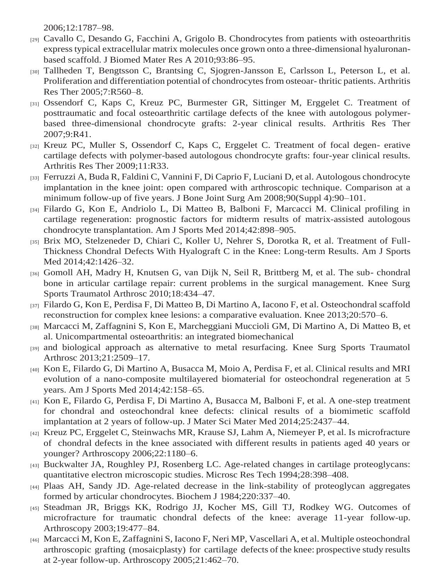2006;12:1787–98.

- $[29]$  Cavallo C, Desando G, Facchini A, Grigolo B. Chondrocytes from patients with osteoarthritis express typical extracellular matrix molecules once grown onto a three-dimensional hyaluronanbased scaffold. J Biomed Mater Res A 2010;93:86–95.
- [30] Tallheden T, Bengtsson C, Brantsing C, Sjogren-Jansson E, Carlsson L, Peterson L, et al. Proliferation and differentiation potential of chondrocytes from osteoar- thritic patients. Arthritis Res Ther 2005;7:R560–8.
- [31] Ossendorf C, Kaps C, Kreuz PC, Burmester GR, Sittinger M, Erggelet C. Treatment of posttraumatic and focal osteoarthritic cartilage defects of the knee with autologous polymerbased three-dimensional chondrocyte grafts: 2-year clinical results. Arthritis Res Ther 2007;9:R41.
- [32] Kreuz PC, Muller S, Ossendorf C, Kaps C, Erggelet C. Treatment of focal degen- erative cartilage defects with polymer-based autologous chondrocyte grafts: four-year clinical results. Arthritis Res Ther 2009;11:R33.
- [33] Ferruzzi A, Buda R, Faldini C, Vannini F, Di Caprio F, Luciani D, et al. Autologous chondrocyte implantation in the knee joint: open compared with arthroscopic technique. Comparison at a minimum follow-up of five years. J Bone Joint Surg Am 2008;90(Suppl 4):90–101.
- [34] Filardo G, Kon E, Andriolo L, Di Matteo B, Balboni F, Marcacci M. Clinical profiling in cartilage regeneration: prognostic factors for midterm results of matrix-assisted autologous chondrocyte transplantation. Am J Sports Med 2014;42:898–905.
- [35] Brix MO, Stelzeneder D, Chiari C, Koller U, Nehrer S, Dorotka R, et al. Treatment of Full-Thickness Chondral Defects With Hyalograft C in the Knee: Long-term Results. Am J Sports Med 2014;42:1426–32.
- [36] Gomoll AH, Madry H, Knutsen G, van Dijk N, Seil R, Brittberg M, et al. The sub- chondral bone in articular cartilage repair: current problems in the surgical management. Knee Surg Sports Traumatol Arthrosc 2010;18:434–47.
- [37] Filardo G, Kon E, Perdisa F, Di Matteo B, Di Martino A, Iacono F, et al. Osteochondral scaffold reconstruction for complex knee lesions: a comparative evaluation. Knee 2013;20:570–6.
- [38] Marcacci M, Zaffagnini S, Kon E, Marcheggiani Muccioli GM, Di Martino A, Di Matteo B, et al. Unicompartmental osteoarthritis: an integrated biomechanical
- [39] and biological approach as alternative to metal resurfacing. Knee Surg Sports Traumatol Arthrosc 2013;21:2509–17.
- [40] Kon E, Filardo G, Di Martino A, Busacca M, Moio A, Perdisa F, et al. Clinical results and MRI evolution of a nano-composite multilayered biomaterial for osteochondral regeneration at 5 years. Am J Sports Med 2014;42:158–65.
- [41] Kon E, Filardo G, Perdisa F, Di Martino A, Busacca M, Balboni F, et al. A one-step treatment for chondral and osteochondral knee defects: clinical results of a biomimetic scaffold implantation at 2 years of follow-up. J Mater Sci Mater Med 2014;25:2437–44.
- [42] Kreuz PC, Erggelet C, Steinwachs MR, Krause SJ, Lahm A, Niemeyer P, et al. Is microfracture of chondral defects in the knee associated with different results in patients aged 40 years or younger? Arthroscopy 2006;22:1180–6.
- [43] Buckwalter JA, Roughley PJ, Rosenberg LC. Age-related changes in cartilage proteoglycans: quantitative electron microscopic studies. Microsc Res Tech 1994;28:398–408.
- [44] Plaas AH, Sandy JD. Age-related decrease in the link-stability of proteoglycan aggregates formed by articular chondrocytes. Biochem J 1984;220:337–40.
- [45] Steadman JR, Briggs KK, Rodrigo JJ, Kocher MS, Gill TJ, Rodkey WG. Outcomes of microfracture for traumatic chondral defects of the knee: average 11-year follow-up. Arthroscopy 2003;19:477–84.
- [46] Marcacci M, Kon E, Zaffagnini S, Iacono F, Neri MP, Vascellari A, et al. Multiple osteochondral arthroscopic grafting (mosaicplasty) for cartilage defects of the knee: prospective study results at 2-year follow-up. Arthroscopy 2005;21:462–70.